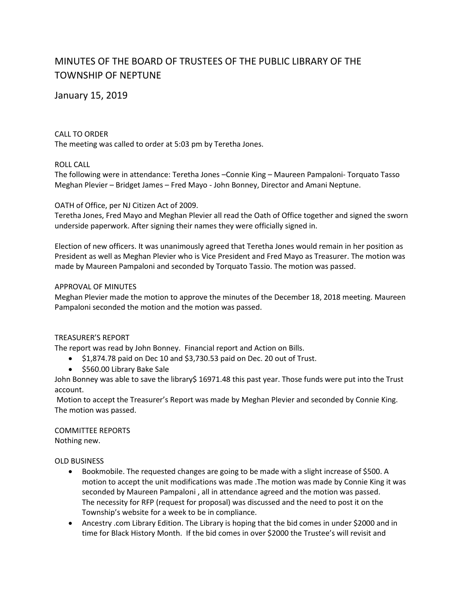# MINUTES OF THE BOARD OF TRUSTEES OF THE PUBLIC LIBRARY OF THE TOWNSHIP OF NEPTUNE

## January 15, 2019

## CALL TO ORDER

The meeting was called to order at 5:03 pm by Teretha Jones.

## ROLL CALL

The following were in attendance: Teretha Jones –Connie King – Maureen Pampaloni- Torquato Tasso Meghan Plevier – Bridget James – Fred Mayo - John Bonney, Director and Amani Neptune.

## OATH of Office, per NJ Citizen Act of 2009.

Teretha Jones, Fred Mayo and Meghan Plevier all read the Oath of Office together and signed the sworn underside paperwork. After signing their names they were officially signed in.

Election of new officers. It was unanimously agreed that Teretha Jones would remain in her position as President as well as Meghan Plevier who is Vice President and Fred Mayo as Treasurer. The motion was made by Maureen Pampaloni and seconded by Torquato Tassio. The motion was passed.

## APPROVAL OF MINUTES

Meghan Plevier made the motion to approve the minutes of the December 18, 2018 meeting. Maureen Pampaloni seconded the motion and the motion was passed.

## TREASURER'S REPORT

The report was read by John Bonney. Financial report and Action on Bills.

- $\bullet$  \$1,874.78 paid on Dec 10 and \$3,730.53 paid on Dec. 20 out of Trust.
- $\bullet$  \$560.00 Library Bake Sale

John Bonney was able to save the library\$ 16971.48 this past year. Those funds were put into the Trust account.

Motion to accept the Treasurer's Report was made by Meghan Plevier and seconded by Connie King. The motion was passed.

COMMITTEE REPORTS Nothing new.

## OLD BUSINESS

- Bookmobile. The requested changes are going to be made with a slight increase of \$500. A motion to accept the unit modifications was made .The motion was made by Connie King it was seconded by Maureen Pampaloni , all in attendance agreed and the motion was passed. The necessity for RFP (request for proposal) was discussed and the need to post it on the Township's website for a week to be in compliance.
- Ancestry .com Library Edition. The Library is hoping that the bid comes in under \$2000 and in time for Black History Month. If the bid comes in over \$2000 the Trustee's will revisit and